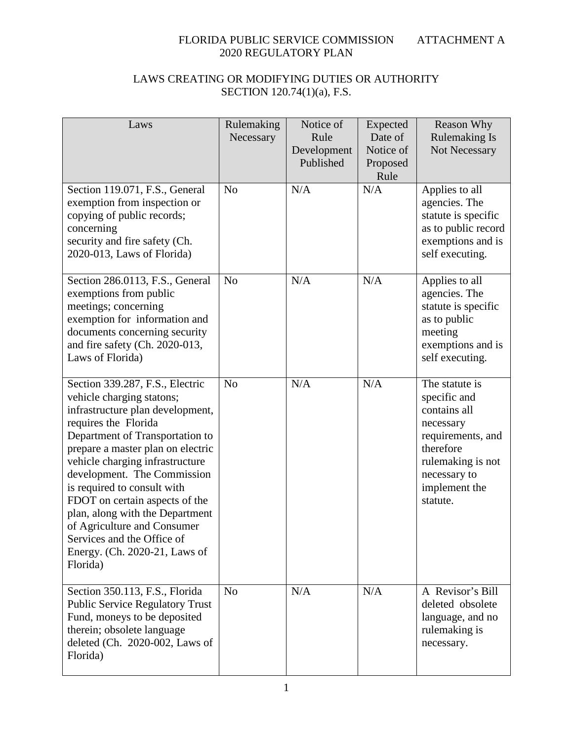| Laws                                                                                                                                                                                                                                                                                                                                                                                                                                                                             | Rulemaking<br>Necessary | Notice of<br>Rule<br>Development<br>Published | Expected<br>Date of<br>Notice of<br>Proposed<br>Rule | <b>Reason Why</b><br><b>Rulemaking Is</b><br>Not Necessary                                                                                                      |
|----------------------------------------------------------------------------------------------------------------------------------------------------------------------------------------------------------------------------------------------------------------------------------------------------------------------------------------------------------------------------------------------------------------------------------------------------------------------------------|-------------------------|-----------------------------------------------|------------------------------------------------------|-----------------------------------------------------------------------------------------------------------------------------------------------------------------|
| Section 119.071, F.S., General<br>exemption from inspection or<br>copying of public records;<br>concerning<br>security and fire safety (Ch.<br>2020-013, Laws of Florida)                                                                                                                                                                                                                                                                                                        | N <sub>o</sub>          | N/A                                           | N/A                                                  | Applies to all<br>agencies. The<br>statute is specific<br>as to public record<br>exemptions and is<br>self executing.                                           |
| Section 286.0113, F.S., General<br>exemptions from public<br>meetings; concerning<br>exemption for information and<br>documents concerning security<br>and fire safety (Ch. 2020-013,<br>Laws of Florida)                                                                                                                                                                                                                                                                        | N <sub>o</sub>          | N/A                                           | N/A                                                  | Applies to all<br>agencies. The<br>statute is specific<br>as to public<br>meeting<br>exemptions and is<br>self executing.                                       |
| Section 339.287, F.S., Electric<br>vehicle charging statons;<br>infrastructure plan development,<br>requires the Florida<br>Department of Transportation to<br>prepare a master plan on electric<br>vehicle charging infrastructure<br>development. The Commission<br>is required to consult with<br>FDOT on certain aspects of the<br>plan, along with the Department<br>of Agriculture and Consumer<br>Services and the Office of<br>Energy. (Ch. 2020-21, Laws of<br>Florida) | N <sub>o</sub>          | N/A                                           | N/A                                                  | The statute is<br>specific and<br>contains all<br>necessary<br>requirements, and<br>therefore<br>rulemaking is not<br>necessary to<br>implement the<br>statute. |
| Section 350.113, F.S., Florida<br><b>Public Service Regulatory Trust</b><br>Fund, moneys to be deposited<br>therein; obsolete language<br>deleted (Ch. 2020-002, Laws of<br>Florida)                                                                                                                                                                                                                                                                                             | N <sub>o</sub>          | N/A                                           | N/A                                                  | A Revisor's Bill<br>deleted obsolete<br>language, and no<br>rulemaking is<br>necessary.                                                                         |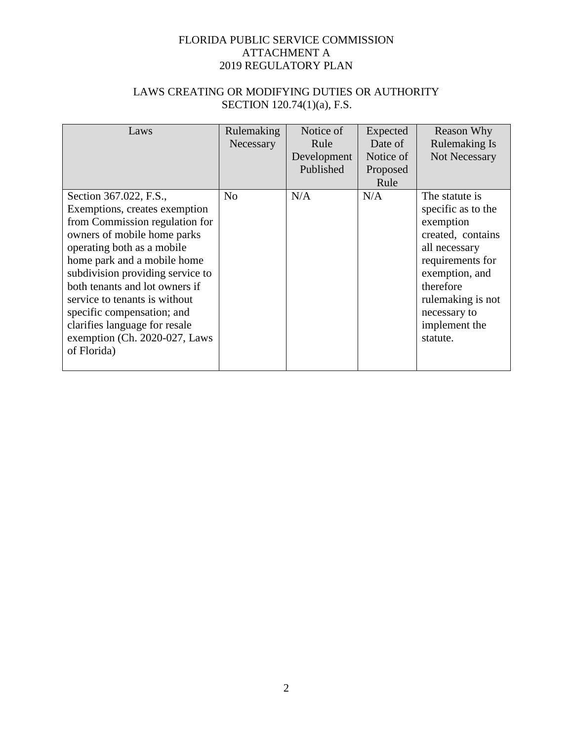| Laws                                                                                                                                                                                                                                                                                                                                                                                                        | Rulemaking<br>Necessary | Notice of<br>Rule<br>Development<br>Published | Expected<br>Date of<br>Notice of<br>Proposed<br>Rule | <b>Reason Why</b><br><b>Rulemaking Is</b><br>Not Necessary                                                                                                                                                   |
|-------------------------------------------------------------------------------------------------------------------------------------------------------------------------------------------------------------------------------------------------------------------------------------------------------------------------------------------------------------------------------------------------------------|-------------------------|-----------------------------------------------|------------------------------------------------------|--------------------------------------------------------------------------------------------------------------------------------------------------------------------------------------------------------------|
| Section 367.022, F.S.,<br>Exemptions, creates exemption<br>from Commission regulation for<br>owners of mobile home parks<br>operating both as a mobile<br>home park and a mobile home<br>subdivision providing service to<br>both tenants and lot owners if<br>service to tenants is without<br>specific compensation; and<br>clarifies language for resale<br>exemption (Ch. 2020-027, Laws<br>of Florida) | N <sub>0</sub>          | N/A                                           | N/A                                                  | The statute is<br>specific as to the<br>exemption<br>created, contains<br>all necessary<br>requirements for<br>exemption, and<br>therefore<br>rulemaking is not<br>necessary to<br>implement the<br>statute. |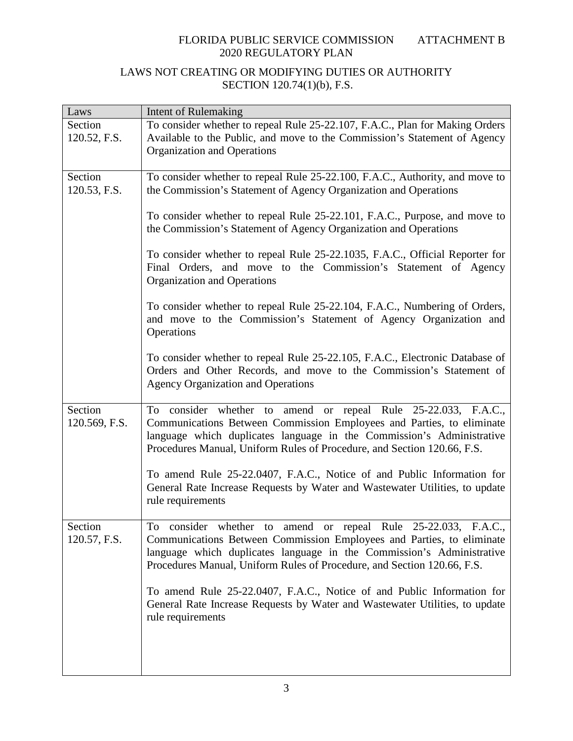| To consider whether to repeal Rule 25-22.107, F.A.C., Plan for Making Orders<br>Available to the Public, and move to the Commission's Statement of Agency<br>120.52, F.S.<br>Organization and Operations<br>To consider whether to repeal Rule 25-22.100, F.A.C., Authority, and move to<br>the Commission's Statement of Agency Organization and Operations<br>120.53, F.S.<br>To consider whether to repeal Rule 25-22.101, F.A.C., Purpose, and move to<br>the Commission's Statement of Agency Organization and Operations<br>To consider whether to repeal Rule 25-22.1035, F.A.C., Official Reporter for<br>Final Orders, and move to the Commission's Statement of Agency<br>Organization and Operations                                  |
|--------------------------------------------------------------------------------------------------------------------------------------------------------------------------------------------------------------------------------------------------------------------------------------------------------------------------------------------------------------------------------------------------------------------------------------------------------------------------------------------------------------------------------------------------------------------------------------------------------------------------------------------------------------------------------------------------------------------------------------------------|
|                                                                                                                                                                                                                                                                                                                                                                                                                                                                                                                                                                                                                                                                                                                                                  |
|                                                                                                                                                                                                                                                                                                                                                                                                                                                                                                                                                                                                                                                                                                                                                  |
|                                                                                                                                                                                                                                                                                                                                                                                                                                                                                                                                                                                                                                                                                                                                                  |
|                                                                                                                                                                                                                                                                                                                                                                                                                                                                                                                                                                                                                                                                                                                                                  |
|                                                                                                                                                                                                                                                                                                                                                                                                                                                                                                                                                                                                                                                                                                                                                  |
|                                                                                                                                                                                                                                                                                                                                                                                                                                                                                                                                                                                                                                                                                                                                                  |
|                                                                                                                                                                                                                                                                                                                                                                                                                                                                                                                                                                                                                                                                                                                                                  |
|                                                                                                                                                                                                                                                                                                                                                                                                                                                                                                                                                                                                                                                                                                                                                  |
|                                                                                                                                                                                                                                                                                                                                                                                                                                                                                                                                                                                                                                                                                                                                                  |
|                                                                                                                                                                                                                                                                                                                                                                                                                                                                                                                                                                                                                                                                                                                                                  |
|                                                                                                                                                                                                                                                                                                                                                                                                                                                                                                                                                                                                                                                                                                                                                  |
|                                                                                                                                                                                                                                                                                                                                                                                                                                                                                                                                                                                                                                                                                                                                                  |
|                                                                                                                                                                                                                                                                                                                                                                                                                                                                                                                                                                                                                                                                                                                                                  |
|                                                                                                                                                                                                                                                                                                                                                                                                                                                                                                                                                                                                                                                                                                                                                  |
|                                                                                                                                                                                                                                                                                                                                                                                                                                                                                                                                                                                                                                                                                                                                                  |
|                                                                                                                                                                                                                                                                                                                                                                                                                                                                                                                                                                                                                                                                                                                                                  |
|                                                                                                                                                                                                                                                                                                                                                                                                                                                                                                                                                                                                                                                                                                                                                  |
|                                                                                                                                                                                                                                                                                                                                                                                                                                                                                                                                                                                                                                                                                                                                                  |
| <b>Agency Organization and Operations</b>                                                                                                                                                                                                                                                                                                                                                                                                                                                                                                                                                                                                                                                                                                        |
|                                                                                                                                                                                                                                                                                                                                                                                                                                                                                                                                                                                                                                                                                                                                                  |
| To consider whether to amend or repeal Rule 25-22.033, F.A.C.,                                                                                                                                                                                                                                                                                                                                                                                                                                                                                                                                                                                                                                                                                   |
|                                                                                                                                                                                                                                                                                                                                                                                                                                                                                                                                                                                                                                                                                                                                                  |
|                                                                                                                                                                                                                                                                                                                                                                                                                                                                                                                                                                                                                                                                                                                                                  |
|                                                                                                                                                                                                                                                                                                                                                                                                                                                                                                                                                                                                                                                                                                                                                  |
|                                                                                                                                                                                                                                                                                                                                                                                                                                                                                                                                                                                                                                                                                                                                                  |
|                                                                                                                                                                                                                                                                                                                                                                                                                                                                                                                                                                                                                                                                                                                                                  |
|                                                                                                                                                                                                                                                                                                                                                                                                                                                                                                                                                                                                                                                                                                                                                  |
|                                                                                                                                                                                                                                                                                                                                                                                                                                                                                                                                                                                                                                                                                                                                                  |
|                                                                                                                                                                                                                                                                                                                                                                                                                                                                                                                                                                                                                                                                                                                                                  |
| To consider whether to amend or repeal Rule 25-22.033, F.A.C.,                                                                                                                                                                                                                                                                                                                                                                                                                                                                                                                                                                                                                                                                                   |
| 120.57, F.S.<br>Communications Between Commission Employees and Parties, to eliminate                                                                                                                                                                                                                                                                                                                                                                                                                                                                                                                                                                                                                                                            |
| language which duplicates language in the Commission's Administrative                                                                                                                                                                                                                                                                                                                                                                                                                                                                                                                                                                                                                                                                            |
| Procedures Manual, Uniform Rules of Procedure, and Section 120.66, F.S.                                                                                                                                                                                                                                                                                                                                                                                                                                                                                                                                                                                                                                                                          |
|                                                                                                                                                                                                                                                                                                                                                                                                                                                                                                                                                                                                                                                                                                                                                  |
| To amend Rule 25-22.0407, F.A.C., Notice of and Public Information for                                                                                                                                                                                                                                                                                                                                                                                                                                                                                                                                                                                                                                                                           |
| General Rate Increase Requests by Water and Wastewater Utilities, to update                                                                                                                                                                                                                                                                                                                                                                                                                                                                                                                                                                                                                                                                      |
| rule requirements                                                                                                                                                                                                                                                                                                                                                                                                                                                                                                                                                                                                                                                                                                                                |
|                                                                                                                                                                                                                                                                                                                                                                                                                                                                                                                                                                                                                                                                                                                                                  |
| To consider whether to repeal Rule 25-22.104, F.A.C., Numbering of Orders,<br>and move to the Commission's Statement of Agency Organization and<br>Operations<br>To consider whether to repeal Rule 25-22.105, F.A.C., Electronic Database of<br>Orders and Other Records, and move to the Commission's Statement of<br>Communications Between Commission Employees and Parties, to eliminate<br>120.569, F.S.<br>language which duplicates language in the Commission's Administrative<br>Procedures Manual, Uniform Rules of Procedure, and Section 120.66, F.S.<br>To amend Rule 25-22.0407, F.A.C., Notice of and Public Information for<br>General Rate Increase Requests by Water and Wastewater Utilities, to update<br>rule requirements |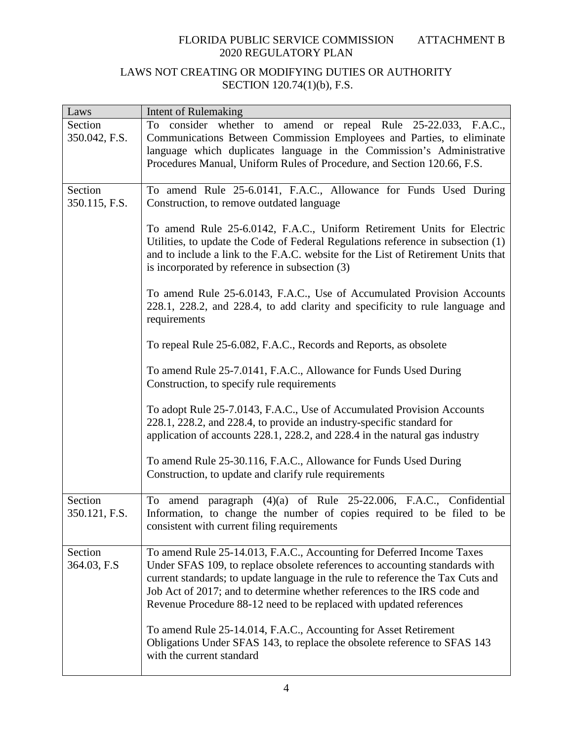| Laws                     | Intent of Rulemaking                                                                                                                                                                                                                                                                                                                                                                       |
|--------------------------|--------------------------------------------------------------------------------------------------------------------------------------------------------------------------------------------------------------------------------------------------------------------------------------------------------------------------------------------------------------------------------------------|
| Section<br>350.042, F.S. | To consider whether to amend or repeal Rule 25-22.033, F.A.C.,<br>Communications Between Commission Employees and Parties, to eliminate<br>language which duplicates language in the Commission's Administrative<br>Procedures Manual, Uniform Rules of Procedure, and Section 120.66, F.S.                                                                                                |
| Section<br>350.115, F.S. | To amend Rule 25-6.0141, F.A.C., Allowance for Funds Used During<br>Construction, to remove outdated language                                                                                                                                                                                                                                                                              |
|                          | To amend Rule 25-6.0142, F.A.C., Uniform Retirement Units for Electric<br>Utilities, to update the Code of Federal Regulations reference in subsection (1)<br>and to include a link to the F.A.C. website for the List of Retirement Units that<br>is incorporated by reference in subsection (3)                                                                                          |
|                          | To amend Rule 25-6.0143, F.A.C., Use of Accumulated Provision Accounts<br>228.1, 228.2, and 228.4, to add clarity and specificity to rule language and<br>requirements                                                                                                                                                                                                                     |
|                          | To repeal Rule 25-6.082, F.A.C., Records and Reports, as obsolete                                                                                                                                                                                                                                                                                                                          |
|                          | To amend Rule 25-7.0141, F.A.C., Allowance for Funds Used During<br>Construction, to specify rule requirements                                                                                                                                                                                                                                                                             |
|                          | To adopt Rule 25-7.0143, F.A.C., Use of Accumulated Provision Accounts<br>228.1, 228.2, and 228.4, to provide an industry-specific standard for<br>application of accounts 228.1, 228.2, and 228.4 in the natural gas industry                                                                                                                                                             |
|                          | To amend Rule 25-30.116, F.A.C., Allowance for Funds Used During<br>Construction, to update and clarify rule requirements                                                                                                                                                                                                                                                                  |
| Section<br>350.121, F.S. | To amend paragraph (4)(a) of Rule 25-22.006, F.A.C., Confidential<br>Information, to change the number of copies required to be filed to be<br>consistent with current filing requirements                                                                                                                                                                                                 |
| Section<br>364.03, F.S   | To amend Rule 25-14.013, F.A.C., Accounting for Deferred Income Taxes<br>Under SFAS 109, to replace obsolete references to accounting standards with<br>current standards; to update language in the rule to reference the Tax Cuts and<br>Job Act of 2017; and to determine whether references to the IRS code and<br>Revenue Procedure 88-12 need to be replaced with updated references |
|                          | To amend Rule 25-14.014, F.A.C., Accounting for Asset Retirement<br>Obligations Under SFAS 143, to replace the obsolete reference to SFAS 143<br>with the current standard                                                                                                                                                                                                                 |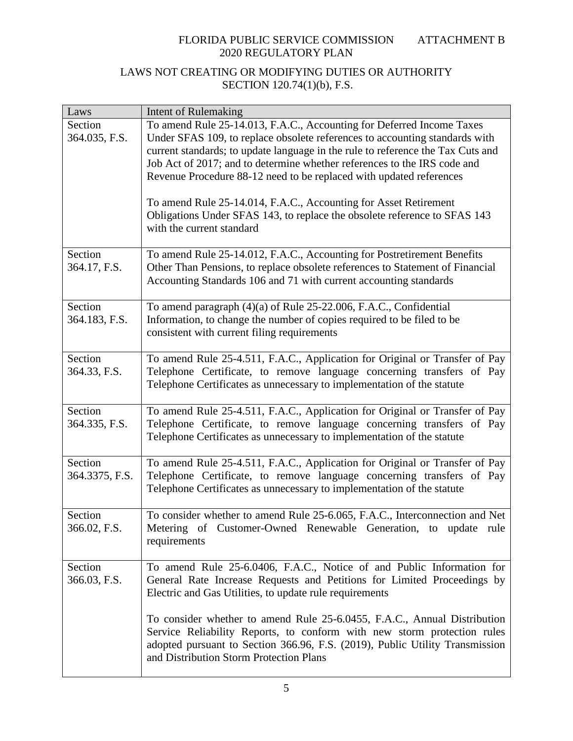| Laws                     | Intent of Rulemaking                                                                                                                                                       |
|--------------------------|----------------------------------------------------------------------------------------------------------------------------------------------------------------------------|
| Section                  | To amend Rule 25-14.013, F.A.C., Accounting for Deferred Income Taxes                                                                                                      |
| 364.035, F.S.            | Under SFAS 109, to replace obsolete references to accounting standards with                                                                                                |
|                          | current standards; to update language in the rule to reference the Tax Cuts and                                                                                            |
|                          | Job Act of 2017; and to determine whether references to the IRS code and                                                                                                   |
|                          | Revenue Procedure 88-12 need to be replaced with updated references                                                                                                        |
|                          | To amend Rule 25-14.014, F.A.C., Accounting for Asset Retirement<br>Obligations Under SFAS 143, to replace the obsolete reference to SFAS 143<br>with the current standard |
| Section                  | To amend Rule 25-14.012, F.A.C., Accounting for Postretirement Benefits                                                                                                    |
| 364.17, F.S.             | Other Than Pensions, to replace obsolete references to Statement of Financial                                                                                              |
|                          | Accounting Standards 106 and 71 with current accounting standards                                                                                                          |
|                          |                                                                                                                                                                            |
| Section<br>364.183, F.S. | To amend paragraph (4)(a) of Rule 25-22.006, F.A.C., Confidential<br>Information, to change the number of copies required to be filed to be                                |
|                          | consistent with current filing requirements                                                                                                                                |
|                          |                                                                                                                                                                            |
| Section                  | To amend Rule 25-4.511, F.A.C., Application for Original or Transfer of Pay                                                                                                |
| 364.33, F.S.             | Telephone Certificate, to remove language concerning transfers of Pay                                                                                                      |
|                          | Telephone Certificates as unnecessary to implementation of the statute                                                                                                     |
|                          |                                                                                                                                                                            |
| Section<br>364.335, F.S. | To amend Rule 25-4.511, F.A.C., Application for Original or Transfer of Pay                                                                                                |
|                          | Telephone Certificate, to remove language concerning transfers of Pay<br>Telephone Certificates as unnecessary to implementation of the statute                            |
|                          |                                                                                                                                                                            |
| Section                  | To amend Rule 25-4.511, F.A.C., Application for Original or Transfer of Pay                                                                                                |
| 364.3375, F.S.           | Telephone Certificate, to remove language concerning transfers of Pay                                                                                                      |
|                          | Telephone Certificates as unnecessary to implementation of the statute                                                                                                     |
|                          |                                                                                                                                                                            |
| Section                  | To consider whether to amend Rule 25-6.065, F.A.C., Interconnection and Net                                                                                                |
| 366.02, F.S.             | Metering of Customer-Owned Renewable Generation, to update rule<br>requirements                                                                                            |
|                          |                                                                                                                                                                            |
| Section                  | To amend Rule 25-6.0406, F.A.C., Notice of and Public Information for                                                                                                      |
| 366.03, F.S.             | General Rate Increase Requests and Petitions for Limited Proceedings by                                                                                                    |
|                          | Electric and Gas Utilities, to update rule requirements                                                                                                                    |
|                          |                                                                                                                                                                            |
|                          | To consider whether to amend Rule 25-6.0455, F.A.C., Annual Distribution<br>Service Reliability Reports, to conform with new storm protection rules                        |
|                          | adopted pursuant to Section 366.96, F.S. (2019), Public Utility Transmission                                                                                               |
|                          | and Distribution Storm Protection Plans                                                                                                                                    |
|                          |                                                                                                                                                                            |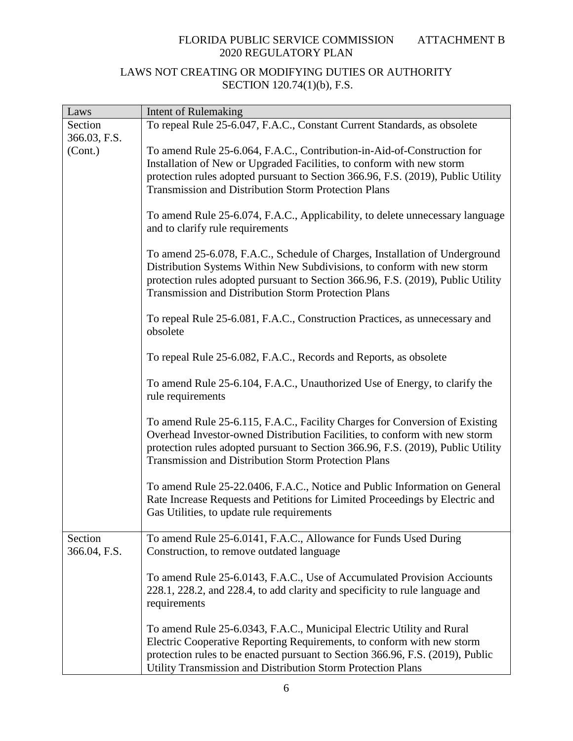| Laws                    | <b>Intent of Rulemaking</b>                                                                                                                                                                                                                                                                                  |
|-------------------------|--------------------------------------------------------------------------------------------------------------------------------------------------------------------------------------------------------------------------------------------------------------------------------------------------------------|
| Section                 | To repeal Rule 25-6.047, F.A.C., Constant Current Standards, as obsolete                                                                                                                                                                                                                                     |
| 366.03, F.S.            |                                                                                                                                                                                                                                                                                                              |
| (Cont.)                 | To amend Rule 25-6.064, F.A.C., Contribution-in-Aid-of-Construction for<br>Installation of New or Upgraded Facilities, to conform with new storm<br>protection rules adopted pursuant to Section 366.96, F.S. (2019), Public Utility<br><b>Transmission and Distribution Storm Protection Plans</b>          |
|                         | To amend Rule 25-6.074, F.A.C., Applicability, to delete unnecessary language<br>and to clarify rule requirements                                                                                                                                                                                            |
|                         | To amend 25-6.078, F.A.C., Schedule of Charges, Installation of Underground<br>Distribution Systems Within New Subdivisions, to conform with new storm<br>protection rules adopted pursuant to Section 366.96, F.S. (2019), Public Utility<br><b>Transmission and Distribution Storm Protection Plans</b>    |
|                         | To repeal Rule 25-6.081, F.A.C., Construction Practices, as unnecessary and<br>obsolete                                                                                                                                                                                                                      |
|                         | To repeal Rule 25-6.082, F.A.C., Records and Reports, as obsolete                                                                                                                                                                                                                                            |
|                         | To amend Rule 25-6.104, F.A.C., Unauthorized Use of Energy, to clarify the<br>rule requirements                                                                                                                                                                                                              |
|                         | To amend Rule 25-6.115, F.A.C., Facility Charges for Conversion of Existing<br>Overhead Investor-owned Distribution Facilities, to conform with new storm<br>protection rules adopted pursuant to Section 366.96, F.S. (2019), Public Utility<br><b>Transmission and Distribution Storm Protection Plans</b> |
|                         | To amend Rule 25-22.0406, F.A.C., Notice and Public Information on General<br>Rate Increase Requests and Petitions for Limited Proceedings by Electric and<br>Gas Utilities, to update rule requirements                                                                                                     |
| Section<br>366.04, F.S. | To amend Rule 25-6.0141, F.A.C., Allowance for Funds Used During<br>Construction, to remove outdated language                                                                                                                                                                                                |
|                         | To amend Rule 25-6.0143, F.A.C., Use of Accumulated Provision Acciounts<br>228.1, 228.2, and 228.4, to add clarity and specificity to rule language and<br>requirements                                                                                                                                      |
|                         | To amend Rule 25-6.0343, F.A.C., Municipal Electric Utility and Rural<br>Electric Cooperative Reporting Requirements, to conform with new storm<br>protection rules to be enacted pursuant to Section 366.96, F.S. (2019), Public<br>Utility Transmission and Distribution Storm Protection Plans            |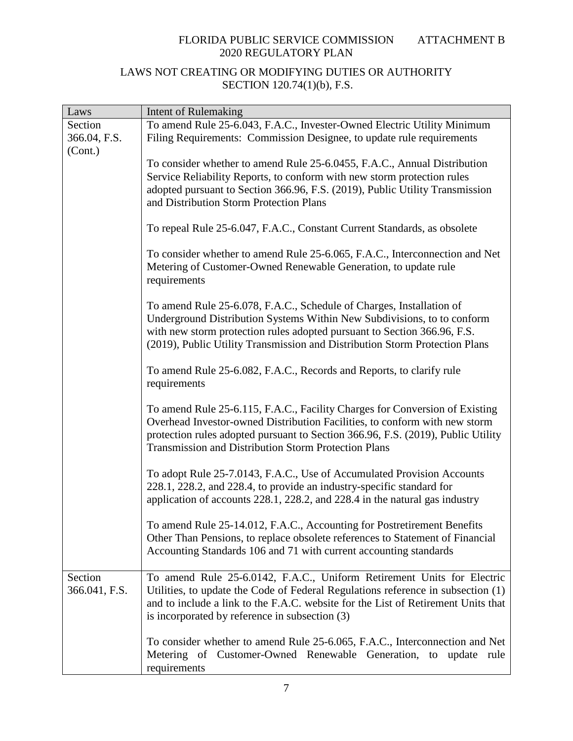| Laws                     | Intent of Rulemaking                                                                                                                                                                                                                                                                                         |
|--------------------------|--------------------------------------------------------------------------------------------------------------------------------------------------------------------------------------------------------------------------------------------------------------------------------------------------------------|
| Section                  | To amend Rule 25-6.043, F.A.C., Invester-Owned Electric Utility Minimum                                                                                                                                                                                                                                      |
| 366.04, F.S.             | Filing Requirements: Commission Designee, to update rule requirements                                                                                                                                                                                                                                        |
| (Cont.)                  | To consider whether to amend Rule 25-6.0455, F.A.C., Annual Distribution<br>Service Reliability Reports, to conform with new storm protection rules<br>adopted pursuant to Section 366.96, F.S. (2019), Public Utility Transmission<br>and Distribution Storm Protection Plans                               |
|                          | To repeal Rule 25-6.047, F.A.C., Constant Current Standards, as obsolete                                                                                                                                                                                                                                     |
|                          | To consider whether to amend Rule 25-6.065, F.A.C., Interconnection and Net<br>Metering of Customer-Owned Renewable Generation, to update rule<br>requirements                                                                                                                                               |
|                          | To amend Rule 25-6.078, F.A.C., Schedule of Charges, Installation of<br>Underground Distribution Systems Within New Subdivisions, to to conform<br>with new storm protection rules adopted pursuant to Section 366.96, F.S.<br>(2019), Public Utility Transmission and Distribution Storm Protection Plans   |
|                          | To amend Rule 25-6.082, F.A.C., Records and Reports, to clarify rule<br>requirements                                                                                                                                                                                                                         |
|                          | To amend Rule 25-6.115, F.A.C., Facility Charges for Conversion of Existing<br>Overhead Investor-owned Distribution Facilities, to conform with new storm<br>protection rules adopted pursuant to Section 366.96, F.S. (2019), Public Utility<br><b>Transmission and Distribution Storm Protection Plans</b> |
|                          | To adopt Rule 25-7.0143, F.A.C., Use of Accumulated Provision Accounts<br>228.1, 228.2, and 228.4, to provide an industry-specific standard for<br>application of accounts 228.1, 228.2, and 228.4 in the natural gas industry                                                                               |
|                          | To amend Rule 25-14.012, F.A.C., Accounting for Postretirement Benefits<br>Other Than Pensions, to replace obsolete references to Statement of Financial<br>Accounting Standards 106 and 71 with current accounting standards                                                                                |
| Section<br>366.041, F.S. | To amend Rule 25-6.0142, F.A.C., Uniform Retirement Units for Electric<br>Utilities, to update the Code of Federal Regulations reference in subsection (1)<br>and to include a link to the F.A.C. website for the List of Retirement Units that<br>is incorporated by reference in subsection (3)            |
|                          | To consider whether to amend Rule 25-6.065, F.A.C., Interconnection and Net<br>Metering of Customer-Owned Renewable Generation, to update<br>rule<br>requirements                                                                                                                                            |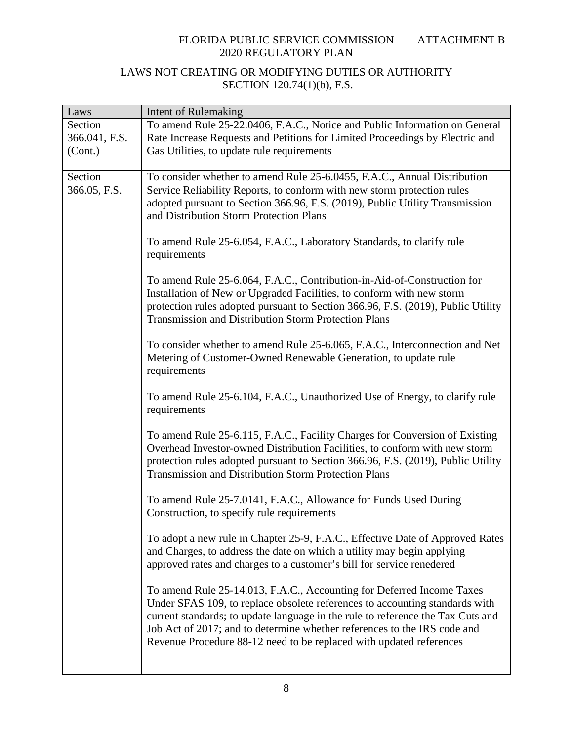| Laws          | Intent of Rulemaking                                                                                                                           |
|---------------|------------------------------------------------------------------------------------------------------------------------------------------------|
| Section       | To amend Rule 25-22.0406, F.A.C., Notice and Public Information on General                                                                     |
| 366.041, F.S. | Rate Increase Requests and Petitions for Limited Proceedings by Electric and                                                                   |
| (Cont.)       | Gas Utilities, to update rule requirements                                                                                                     |
|               |                                                                                                                                                |
| Section       | To consider whether to amend Rule 25-6.0455, F.A.C., Annual Distribution                                                                       |
| 366.05, F.S.  | Service Reliability Reports, to conform with new storm protection rules                                                                        |
|               | adopted pursuant to Section 366.96, F.S. (2019), Public Utility Transmission<br>and Distribution Storm Protection Plans                        |
|               |                                                                                                                                                |
|               | To amend Rule 25-6.054, F.A.C., Laboratory Standards, to clarify rule                                                                          |
|               | requirements                                                                                                                                   |
|               |                                                                                                                                                |
|               | To amend Rule 25-6.064, F.A.C., Contribution-in-Aid-of-Construction for                                                                        |
|               | Installation of New or Upgraded Facilities, to conform with new storm                                                                          |
|               | protection rules adopted pursuant to Section 366.96, F.S. (2019), Public Utility                                                               |
|               | <b>Transmission and Distribution Storm Protection Plans</b>                                                                                    |
|               |                                                                                                                                                |
|               | To consider whether to amend Rule 25-6.065, F.A.C., Interconnection and Net<br>Metering of Customer-Owned Renewable Generation, to update rule |
|               | requirements                                                                                                                                   |
|               |                                                                                                                                                |
|               | To amend Rule 25-6.104, F.A.C., Unauthorized Use of Energy, to clarify rule                                                                    |
|               | requirements                                                                                                                                   |
|               |                                                                                                                                                |
|               | To amend Rule 25-6.115, F.A.C., Facility Charges for Conversion of Existing                                                                    |
|               | Overhead Investor-owned Distribution Facilities, to conform with new storm                                                                     |
|               | protection rules adopted pursuant to Section 366.96, F.S. (2019), Public Utility                                                               |
|               | <b>Transmission and Distribution Storm Protection Plans</b>                                                                                    |
|               | To amend Rule 25-7.0141, F.A.C., Allowance for Funds Used During                                                                               |
|               | Construction, to specify rule requirements                                                                                                     |
|               |                                                                                                                                                |
|               | To adopt a new rule in Chapter 25-9, F.A.C., Effective Date of Approved Rates                                                                  |
|               | and Charges, to address the date on which a utility may begin applying                                                                         |
|               | approved rates and charges to a customer's bill for service renedered                                                                          |
|               |                                                                                                                                                |
|               | To amend Rule 25-14.013, F.A.C., Accounting for Deferred Income Taxes                                                                          |
|               | Under SFAS 109, to replace obsolete references to accounting standards with                                                                    |
|               | current standards; to update language in the rule to reference the Tax Cuts and                                                                |
|               | Job Act of 2017; and to determine whether references to the IRS code and                                                                       |
|               | Revenue Procedure 88-12 need to be replaced with updated references                                                                            |
|               |                                                                                                                                                |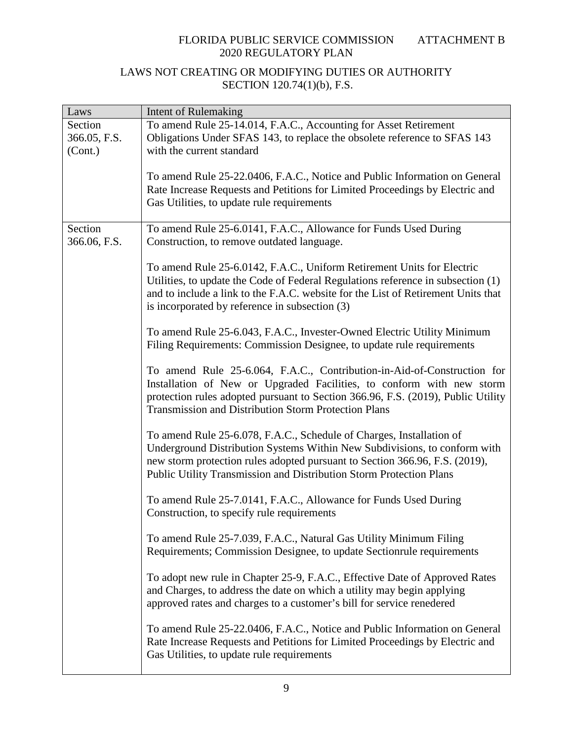| Laws                               | Intent of Rulemaking                                                                                                                                                                                                                                                                                    |
|------------------------------------|---------------------------------------------------------------------------------------------------------------------------------------------------------------------------------------------------------------------------------------------------------------------------------------------------------|
| Section<br>366.05, F.S.<br>(Cont.) | To amend Rule 25-14.014, F.A.C., Accounting for Asset Retirement<br>Obligations Under SFAS 143, to replace the obsolete reference to SFAS 143<br>with the current standard                                                                                                                              |
|                                    | To amend Rule 25-22.0406, F.A.C., Notice and Public Information on General<br>Rate Increase Requests and Petitions for Limited Proceedings by Electric and<br>Gas Utilities, to update rule requirements                                                                                                |
| Section<br>366.06, F.S.            | To amend Rule 25-6.0141, F.A.C., Allowance for Funds Used During<br>Construction, to remove outdated language.                                                                                                                                                                                          |
|                                    | To amend Rule 25-6.0142, F.A.C., Uniform Retirement Units for Electric<br>Utilities, to update the Code of Federal Regulations reference in subsection (1)<br>and to include a link to the F.A.C. website for the List of Retirement Units that<br>is incorporated by reference in subsection (3)       |
|                                    | To amend Rule 25-6.043, F.A.C., Invester-Owned Electric Utility Minimum<br>Filing Requirements: Commission Designee, to update rule requirements                                                                                                                                                        |
|                                    | To amend Rule 25-6.064, F.A.C., Contribution-in-Aid-of-Construction for<br>Installation of New or Upgraded Facilities, to conform with new storm<br>protection rules adopted pursuant to Section 366.96, F.S. (2019), Public Utility<br><b>Transmission and Distribution Storm Protection Plans</b>     |
|                                    | To amend Rule 25-6.078, F.A.C., Schedule of Charges, Installation of<br>Underground Distribution Systems Within New Subdivisions, to conform with<br>new storm protection rules adopted pursuant to Section 366.96, F.S. (2019),<br>Public Utility Transmission and Distribution Storm Protection Plans |
|                                    | To amend Rule 25-7.0141, F.A.C., Allowance for Funds Used During<br>Construction, to specify rule requirements                                                                                                                                                                                          |
|                                    | To amend Rule 25-7.039, F.A.C., Natural Gas Utility Minimum Filing<br>Requirements; Commission Designee, to update Sectionrule requirements                                                                                                                                                             |
|                                    | To adopt new rule in Chapter 25-9, F.A.C., Effective Date of Approved Rates<br>and Charges, to address the date on which a utility may begin applying<br>approved rates and charges to a customer's bill for service renedered                                                                          |
|                                    | To amend Rule 25-22.0406, F.A.C., Notice and Public Information on General<br>Rate Increase Requests and Petitions for Limited Proceedings by Electric and<br>Gas Utilities, to update rule requirements                                                                                                |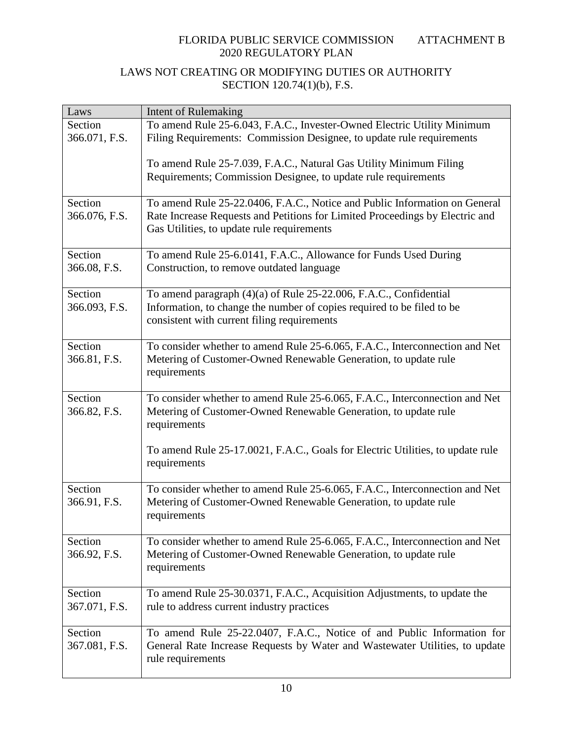| Laws                     | <b>Intent of Rulemaking</b>                                                                                                                                                                              |
|--------------------------|----------------------------------------------------------------------------------------------------------------------------------------------------------------------------------------------------------|
| Section                  | To amend Rule 25-6.043, F.A.C., Invester-Owned Electric Utility Minimum                                                                                                                                  |
| 366.071, F.S.            | Filing Requirements: Commission Designee, to update rule requirements                                                                                                                                    |
|                          | To amend Rule 25-7.039, F.A.C., Natural Gas Utility Minimum Filing<br>Requirements; Commission Designee, to update rule requirements                                                                     |
| Section<br>366.076, F.S. | To amend Rule 25-22.0406, F.A.C., Notice and Public Information on General<br>Rate Increase Requests and Petitions for Limited Proceedings by Electric and<br>Gas Utilities, to update rule requirements |
| Section<br>366.08, F.S.  | To amend Rule 25-6.0141, F.A.C., Allowance for Funds Used During<br>Construction, to remove outdated language                                                                                            |
| Section<br>366.093, F.S. | To amend paragraph (4)(a) of Rule 25-22.006, F.A.C., Confidential<br>Information, to change the number of copies required to be filed to be<br>consistent with current filing requirements               |
| Section<br>366.81, F.S.  | To consider whether to amend Rule 25-6.065, F.A.C., Interconnection and Net<br>Metering of Customer-Owned Renewable Generation, to update rule<br>requirements                                           |
| Section<br>366.82, F.S.  | To consider whether to amend Rule 25-6.065, F.A.C., Interconnection and Net<br>Metering of Customer-Owned Renewable Generation, to update rule<br>requirements                                           |
|                          | To amend Rule 25-17.0021, F.A.C., Goals for Electric Utilities, to update rule<br>requirements                                                                                                           |
| Section<br>366.91, F.S.  | To consider whether to amend Rule 25-6.065, F.A.C., Interconnection and Net<br>Metering of Customer-Owned Renewable Generation, to update rule<br>requirements                                           |
| Section<br>366.92, F.S.  | To consider whether to amend Rule 25-6.065, F.A.C., Interconnection and Net<br>Metering of Customer-Owned Renewable Generation, to update rule<br>requirements                                           |
| Section<br>367.071, F.S. | To amend Rule 25-30.0371, F.A.C., Acquisition Adjustments, to update the<br>rule to address current industry practices                                                                                   |
| Section<br>367.081, F.S. | To amend Rule 25-22.0407, F.A.C., Notice of and Public Information for<br>General Rate Increase Requests by Water and Wastewater Utilities, to update<br>rule requirements                               |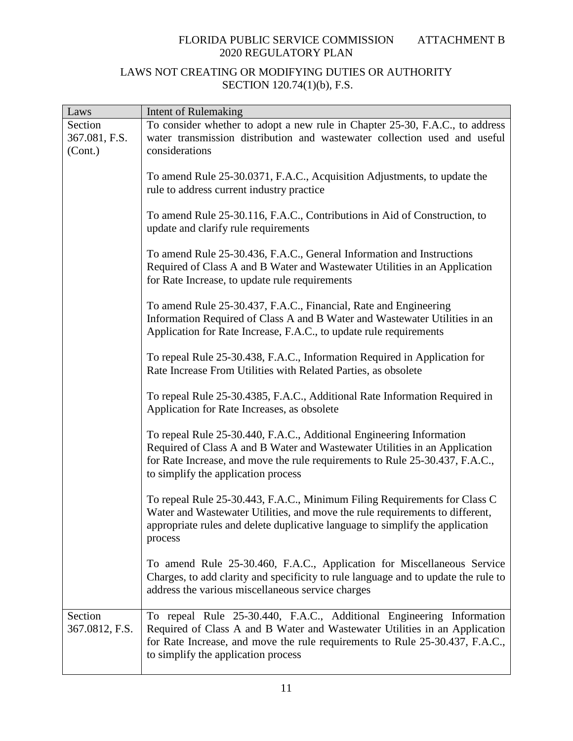| Laws                      | Intent of Rulemaking                                                                                                                                                                                                                                                      |
|---------------------------|---------------------------------------------------------------------------------------------------------------------------------------------------------------------------------------------------------------------------------------------------------------------------|
| Section                   | To consider whether to adopt a new rule in Chapter 25-30, F.A.C., to address                                                                                                                                                                                              |
| 367.081, F.S.             | water transmission distribution and wastewater collection used and useful                                                                                                                                                                                                 |
| (Cont.)                   | considerations                                                                                                                                                                                                                                                            |
|                           | To amend Rule 25-30.0371, F.A.C., Acquisition Adjustments, to update the<br>rule to address current industry practice                                                                                                                                                     |
|                           | To amend Rule 25-30.116, F.A.C., Contributions in Aid of Construction, to<br>update and clarify rule requirements                                                                                                                                                         |
|                           | To amend Rule 25-30.436, F.A.C., General Information and Instructions<br>Required of Class A and B Water and Wastewater Utilities in an Application<br>for Rate Increase, to update rule requirements                                                                     |
|                           | To amend Rule 25-30.437, F.A.C., Financial, Rate and Engineering<br>Information Required of Class A and B Water and Wastewater Utilities in an<br>Application for Rate Increase, F.A.C., to update rule requirements                                                      |
|                           | To repeal Rule 25-30.438, F.A.C., Information Required in Application for<br>Rate Increase From Utilities with Related Parties, as obsolete                                                                                                                               |
|                           | To repeal Rule 25-30.4385, F.A.C., Additional Rate Information Required in<br>Application for Rate Increases, as obsolete                                                                                                                                                 |
|                           | To repeal Rule 25-30.440, F.A.C., Additional Engineering Information<br>Required of Class A and B Water and Wastewater Utilities in an Application<br>for Rate Increase, and move the rule requirements to Rule 25-30.437, F.A.C.,<br>to simplify the application process |
|                           | To repeal Rule 25-30.443, F.A.C., Minimum Filing Requirements for Class C<br>Water and Wastewater Utilities, and move the rule requirements to different,<br>appropriate rules and delete duplicative language to simplify the application<br>process                     |
|                           | To amend Rule 25-30.460, F.A.C., Application for Miscellaneous Service<br>Charges, to add clarity and specificity to rule language and to update the rule to<br>address the various miscellaneous service charges                                                         |
| Section<br>367.0812, F.S. | To repeal Rule 25-30.440, F.A.C., Additional Engineering Information<br>Required of Class A and B Water and Wastewater Utilities in an Application<br>for Rate Increase, and move the rule requirements to Rule 25-30.437, F.A.C.,<br>to simplify the application process |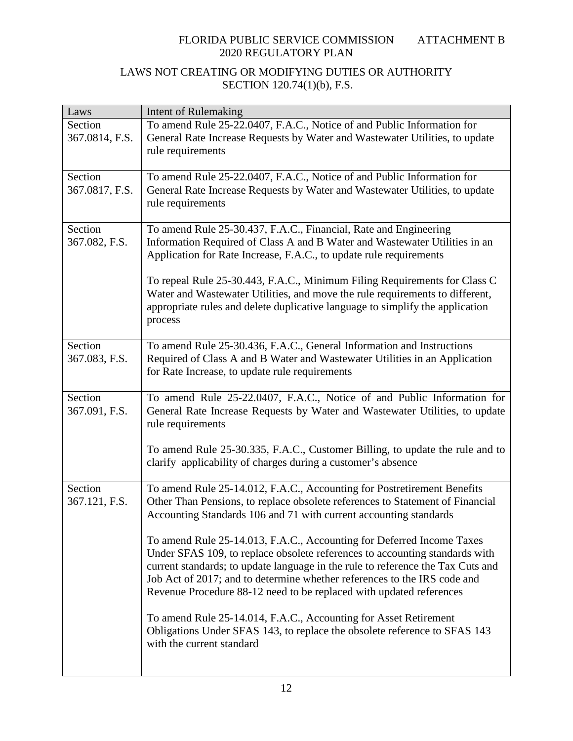| Laws                      | <b>Intent of Rulemaking</b>                                                                                                                                                                                                                                                                                                                                                                                                                                                                                                                                                                                                                                                                                                                                                                               |
|---------------------------|-----------------------------------------------------------------------------------------------------------------------------------------------------------------------------------------------------------------------------------------------------------------------------------------------------------------------------------------------------------------------------------------------------------------------------------------------------------------------------------------------------------------------------------------------------------------------------------------------------------------------------------------------------------------------------------------------------------------------------------------------------------------------------------------------------------|
| Section<br>367.0814, F.S. | To amend Rule 25-22.0407, F.A.C., Notice of and Public Information for<br>General Rate Increase Requests by Water and Wastewater Utilities, to update<br>rule requirements                                                                                                                                                                                                                                                                                                                                                                                                                                                                                                                                                                                                                                |
| Section<br>367.0817, F.S. | To amend Rule 25-22.0407, F.A.C., Notice of and Public Information for<br>General Rate Increase Requests by Water and Wastewater Utilities, to update<br>rule requirements                                                                                                                                                                                                                                                                                                                                                                                                                                                                                                                                                                                                                                |
| Section<br>367.082, F.S.  | To amend Rule 25-30.437, F.A.C., Financial, Rate and Engineering<br>Information Required of Class A and B Water and Wastewater Utilities in an<br>Application for Rate Increase, F.A.C., to update rule requirements<br>To repeal Rule 25-30.443, F.A.C., Minimum Filing Requirements for Class C<br>Water and Wastewater Utilities, and move the rule requirements to different,<br>appropriate rules and delete duplicative language to simplify the application<br>process                                                                                                                                                                                                                                                                                                                             |
| Section<br>367.083, F.S.  | To amend Rule 25-30.436, F.A.C., General Information and Instructions<br>Required of Class A and B Water and Wastewater Utilities in an Application<br>for Rate Increase, to update rule requirements                                                                                                                                                                                                                                                                                                                                                                                                                                                                                                                                                                                                     |
| Section<br>367.091, F.S.  | To amend Rule 25-22.0407, F.A.C., Notice of and Public Information for<br>General Rate Increase Requests by Water and Wastewater Utilities, to update<br>rule requirements<br>To amend Rule 25-30.335, F.A.C., Customer Billing, to update the rule and to<br>clarify applicability of charges during a customer's absence                                                                                                                                                                                                                                                                                                                                                                                                                                                                                |
| Section<br>367.121, F.S.  | To amend Rule 25-14.012, F.A.C., Accounting for Postretirement Benefits<br>Other Than Pensions, to replace obsolete references to Statement of Financial<br>Accounting Standards 106 and 71 with current accounting standards<br>To amend Rule 25-14.013, F.A.C., Accounting for Deferred Income Taxes<br>Under SFAS 109, to replace obsolete references to accounting standards with<br>current standards; to update language in the rule to reference the Tax Cuts and<br>Job Act of 2017; and to determine whether references to the IRS code and<br>Revenue Procedure 88-12 need to be replaced with updated references<br>To amend Rule 25-14.014, F.A.C., Accounting for Asset Retirement<br>Obligations Under SFAS 143, to replace the obsolete reference to SFAS 143<br>with the current standard |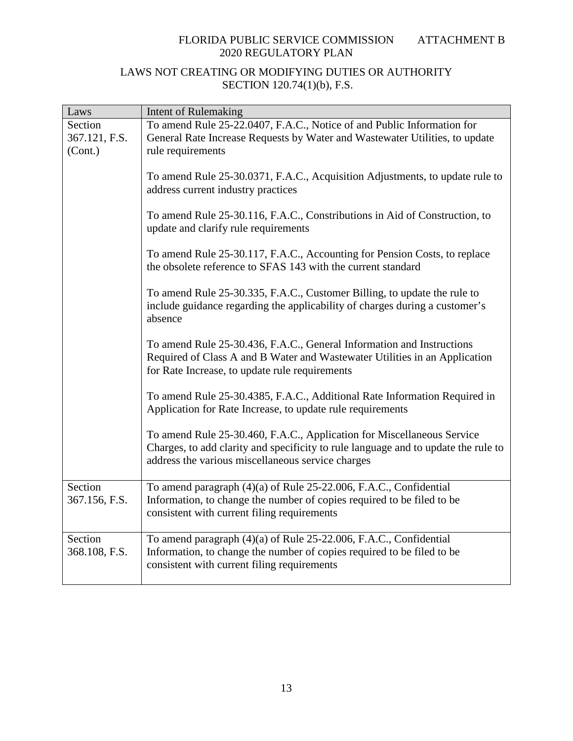| Laws                     | <b>Intent of Rulemaking</b>                                                                                                                                                                                       |
|--------------------------|-------------------------------------------------------------------------------------------------------------------------------------------------------------------------------------------------------------------|
| Section<br>367.121, F.S. | To amend Rule 25-22.0407, F.A.C., Notice of and Public Information for<br>General Rate Increase Requests by Water and Wastewater Utilities, to update                                                             |
| (Cont.)                  | rule requirements                                                                                                                                                                                                 |
|                          | To amend Rule 25-30.0371, F.A.C., Acquisition Adjustments, to update rule to<br>address current industry practices                                                                                                |
|                          | To amend Rule 25-30.116, F.A.C., Constributions in Aid of Construction, to<br>update and clarify rule requirements                                                                                                |
|                          | To amend Rule 25-30.117, F.A.C., Accounting for Pension Costs, to replace<br>the obsolete reference to SFAS 143 with the current standard                                                                         |
|                          | To amend Rule 25-30.335, F.A.C., Customer Billing, to update the rule to<br>include guidance regarding the applicability of charges during a customer's<br>absence                                                |
|                          | To amend Rule 25-30.436, F.A.C., General Information and Instructions<br>Required of Class A and B Water and Wastewater Utilities in an Application<br>for Rate Increase, to update rule requirements             |
|                          | To amend Rule 25-30.4385, F.A.C., Additional Rate Information Required in<br>Application for Rate Increase, to update rule requirements                                                                           |
|                          | To amend Rule 25-30.460, F.A.C., Application for Miscellaneous Service<br>Charges, to add clarity and specificity to rule language and to update the rule to<br>address the various miscellaneous service charges |
| Section<br>367.156, F.S. | To amend paragraph (4)(a) of Rule 25-22.006, F.A.C., Confidential<br>Information, to change the number of copies required to be filed to be<br>consistent with current filing requirements                        |
| Section<br>368.108, F.S. | To amend paragraph (4)(a) of Rule 25-22.006, F.A.C., Confidential<br>Information, to change the number of copies required to be filed to be<br>consistent with current filing requirements                        |